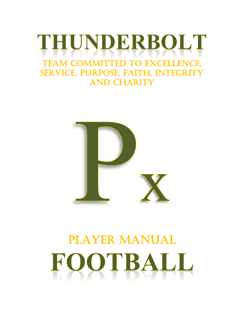



# PLAYER MANUAL OOTBALL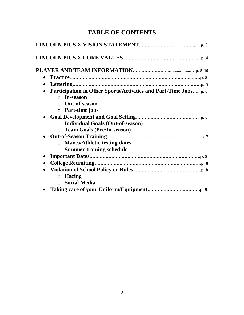## **TABLE OF CONTENTS**

| $\bullet$                                                                                                     |
|---------------------------------------------------------------------------------------------------------------|
| $\bullet$                                                                                                     |
| Participation in Other Sports/Activities and Part-Time Jobsp. 6<br>$\bullet$<br><b>In-season</b><br>$\bigcap$ |
| <b>Out-of-season</b><br>$\bigcap$                                                                             |
| $\circ$ Part-time jobs                                                                                        |
| o Individual Goals (Out-of-season)<br><b>O</b> Team Goals (Pre/In-season)                                     |
| $\bullet$<br>$\circ$ Maxes/Athletic testing dates<br><b>Summer training schedule</b><br>$\circ$               |
| $\bullet$                                                                                                     |
|                                                                                                               |
| $\bullet$<br>$\circ$ Hazing<br><b>Social Media</b><br>$\bigcirc$                                              |
|                                                                                                               |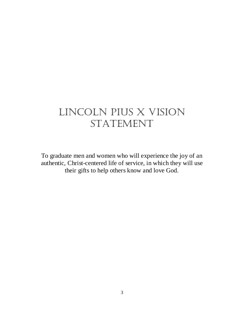# Lincoln Pius X vision STATEMENT

To graduate men and women who will experience the joy of an authentic, Christ-centered life of service, in which they will use their gifts to help others know and love God.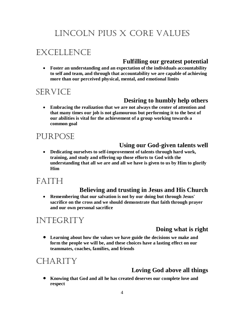# Lincoln Pius X Core Values

# Excellence

### **Fulfilling our greatest potential**

 **Foster an understanding and an expectation of the individuals accountability to self and team, and through that accountability we are capable of achieving more than our perceived physical, mental, and emotional limits**

# **SERVICE**

## **Desiring to humbly help others**

 **Embracing the realization that we are not always the center of attention and that many times our job is not glamourous but performing it to the best of our abilities is vital for the achievement of a group working towards a common goal** 

## **PURPOSE**

## **Using our God-given talents well**

 **Dedicating ourselves to self-improvement of talents through hard work, training, and study and offering up those efforts to God with the understanding that all we are and all we have is given to us by Him to glorify Him**

# FAITH

#### **Believing and trusting in Jesus and His Church**

 **Remembering that our salvation is not by our doing but through Jesus' sacrifice on the cross and we should demonstrate that faith through prayer and our own personal sacrifice**

# Integrity

## **Doing what is right**

 **Learning about how the values we have guide the decisions we make and form the people we will be, and these choices have a lasting effect on our teammates, coaches, families, and friends**

# CHARITY

## **Loving God above all things**

 **Knowing that God and all he has created deserves our complete love and respect**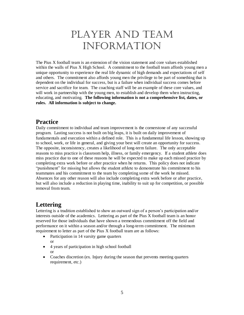# Player and Team Information

The Pius X football team is an extension of the vision statement and core values established within the walls of Pius X High School. A commitment to the football team affords young men a unique opportunity to experience the real life dynamic of high demands and expectations of self and others. The commitment also affords young men the privilege to be part of something that is dependent on the individual for success, but is a failure when individual success comes before service and sacrifice for team. The coaching staff will be an example of these core values, and will work in partnership with the young men, to establish and develop them when instructing, educating, and motivating. **The following information is not a comprehensive list, dates, or rules. All information is subject to change.**

#### **Practice**

Daily commitment to individual and team improvement is the cornerstone of any successful program. Lasting success is not built on big leaps, it is built on daily improvement of fundamentals and execution within a defined role. This is a fundamental life lesson, showing up to school, work, or life in general, and giving your best will create an opportunity for success. The opposite, inconsistency, creates a likelihood of long-term failure. The only acceptable reasons to miss practice is classroom help, illness, or family emergency. If a student athlete does miss practice due to one of these reasons he will be expected to make up each missed practice by completing extra work before or after practice when he returns. This policy does not indicate "punishment" for missing but allows the student athlete to demonstrate his commitment to his teammates and his commitment to the team by completing some of the work he missed. Absences for any other reason will also include completing extra work before or after practice, but will also include a reduction in playing time, inability to suit up for competition, or possible removal from team.

## **Lettering**

Lettering is a tradition established to show an outward sign of a person's participation and/or interests outside of the academics. Lettering as part of the Pius X football team is an honor reserved for those individuals that have shown a tremendous commitment off the field and performance on it within a season and/or through a long-term commitment. The minimum requirement to letter as part of the Pius X football team are as follows:

- Participation in 14 varsity game quarters or
- 4 years of participation in high school football or
- Coaches discretion (ex. Injury during the season that prevents meeting quarters requirement, etc.)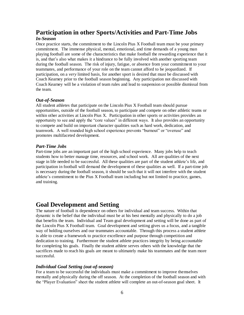#### **Participation in other Sports/Activities and Part-Time Jobs** *In-Season*

Once practice starts, the commitment to the Lincoln Pius X Football team must be your primary commitment. The immense physical, mental, emotional, and time demands of a young man playing football are some of the characteristics that make football the rewarding experience that it is, and that's also what makes it a hindrance to be fully involved with another sporting team during the football season. The risk of injury, fatigue, or absence from your commitment to your teammates, and performance of your role on the team cannot afford to be jeopardized. If participation, on a *very* limited basis, for another sport is desired that must be discussed with Coach Kearney prior to the football season beginning. Any participation not discussed with Coach Kearney will be a violation of team rules and lead to suspension or possible dismissal from the team.

#### *Out-of-Season*

All student athletes that participate on the Lincoln Pius X Football team should pursue opportunities, outside of the football season, to participate and compete on other athletic teams or within other activities at Lincoln Pius X. Participation in other sports or activities provides an opportunity to see and apply the "core values" in different ways. It also provides an opportunity to compete and build on important character qualities such as hard work, dedication, and teamwork. A well rounded high school experience prevents "burnout" or "overuse" and promotes multifaceted development.

#### *Part-Time Jobs*

Part-time jobs are an important part of the high school experience. Many jobs help to teach students how to better manage time, resources, and school work. All are qualities of the next stage in life needed to be successful. All these qualities are part of the student athlete's life, and participation in football will demand the development of these qualities as well. If a part-time job is necessary during the football season, it should be such that it will not interfere with the student athlete's commitment to the Pius X Football team including but not limited to practice, games, and training.

#### **Goal Development and Setting**

The nature of football is dependence on others for individual and team success. Within that dynamic is the belief that the individual must be at his best mentally and physically to do a job that benefits the team. Individual and Team goal development and setting will be done as part of the Lincoln Pius X Football team. Goal development and setting gives us a focus, and a tangible way of holding ourselves and our teammates accountable. Through this process a student athlete is able to create a framework to practice excellence and purpose through competition and dedication to training. Furthermore the student athlete practices integrity by being accountable for completing his goals. Finally the student athlete serves others with the knowledge that the sacrifices made to reach his goals are meant to ultimately make his teammates and the team more successful.

#### *Individual Goal Setting (out-of-season)*

For a team to be successful the individuals must make a commitment to improve themselves mentally and physically during the off season. At the completion of the football season and with the "Player Evaluation" sheet the student athlete will complete an out-of-season goal sheet. It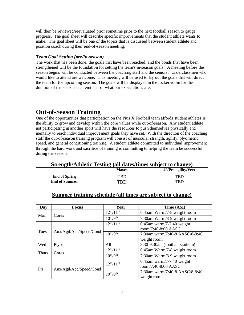will then be reviewed/reevaluated prior sometime prior to the next football season to gauge progress. The goal sheet will describe specific improvements that the student athlete wants to make. The goal sheet will be one of the topics that is discussed between student athlete and position coach during their end-of-season meeting.

#### *Team Goal Setting (pre/in-season)*

The work that has been done, the goals that have been reached, and the bonds that have been strengthened will be the foundation for setting the team's in-season goals. A meeting before the season begins will be conducted between the coaching staff and the seniors. Underclassmen who would like to attend are welcome. This meeting will be used to lay out the goals that will direct the team for the upcoming season. The goals will be displayed in the locker-room for the duration of the season as a reminder of what our expectations are.

#### **Out-of-Season Training**

One of the opportunities that participation on the Pius X Football team affords student athletes is the ability to grow and develop within the core values while out-of-season. Any student athlete not participating in another sport will have the resources to push themselves physically and mentally to reach individual improvement goals they have set. With the direction of the coaching staff the out-of-season training program will consist of muscular strength, agility, plyometric, speed, and general conditioning training. A student athlete committed to individual improvement through the hard work and sacrifice of training is committing to helping the team be successful during the season.

|                      | $\sigma$ , $\sigma$ , $\sigma$ , $\sigma$ , $\sigma$ , $\sigma$ , $\sigma$ , $\sigma$ , $\sigma$ , $\sigma$ , $\sigma$ , $\sigma$ , $\sigma$ , $\sigma$ , $\sigma$ , $\sigma$ , $\sigma$ , $\sigma$ , $\sigma$ , $\sigma$ , $\sigma$ , $\sigma$ , $\sigma$ , $\sigma$ , $\sigma$ , $\sigma$ , $\sigma$ , $\sigma$ , $\sigma$ , $\sigma$ , $\sigma$ , $\sigma$ |                     |  |
|----------------------|---------------------------------------------------------------------------------------------------------------------------------------------------------------------------------------------------------------------------------------------------------------------------------------------------------------------------------------------------------------|---------------------|--|
|                      | <b>Maxes</b>                                                                                                                                                                                                                                                                                                                                                  | 40/Pro agility/Vert |  |
| <b>End of Spring</b> | TBD                                                                                                                                                                                                                                                                                                                                                           | TBD                 |  |
| <b>End of Summer</b> | TBE                                                                                                                                                                                                                                                                                                                                                           | TBD                 |  |

**Strength/Athletic Testing (all dates/times subject to change)**

| Day          | <b>Focus</b>            | Year              | Time (AM)                      |
|--------------|-------------------------|-------------------|--------------------------------|
| Mon          | Cores                   | $12^{th}/11^{th}$ | 6:45am Warm/7-8 weight room    |
|              |                         | $10^{th}/9^{th}$  | 7:30am Warm/8-9 weight room    |
| Tues         | Aux/Agil/Acc/Speed/Cond | $12^{th}/11^{th}$ | $6:45$ am warm/7-7:40 weight   |
|              |                         |                   | room/7:40-8:00 AASC            |
|              |                         | $10^{th}/9^{th}$  | 7:30am warm/7:40-8 AASC/8-8:40 |
|              |                         |                   | weight room                    |
| Wed          | Plyos                   | A11               | 8:30-9:30am (football stadium) |
| <b>Thurs</b> | Cores                   | $12^{th}/11^{th}$ | 6:45am Warm/7-8 weight room    |
|              |                         | $10^{th}/9^{th}$  | 7:30am Warm/8-9 weight room    |
| Fri          | Aux/Agil/Acc/Speed/Cond | $12^{th}/11^{th}$ | $6:45$ am warm/7-7:40 weight   |
|              |                         |                   | room/7:40-8:00 AASC            |
|              |                         | $10^{th}/9^{th}$  | 7:30am warm/7:40-8 AASC/8-8:40 |
|              |                         |                   | weight room                    |

#### **Summer training schedule (all times are subject to change)**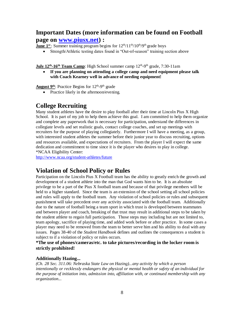# **Important Dates (more information can be found on Football**

**page on [www.piusx.net\)](http://www.piusx.net/) :**

**June 1<sup>st</sup>**: Summer training program begins for  $12<sup>th</sup>/11<sup>th</sup>/10<sup>th</sup>/9<sup>th</sup>$  grade boys

Strength/Athletic testing dates found in "Out-of-season" training section above

**July** 12<sup>th</sup>-16<sup>th</sup> Team Camp: High School summer camp  $12<sup>th</sup>$ -9<sup>th</sup> grade, 7:30-11am

 **If you are planning on attending a college camp and need equipment please talk with Coach Kearney well in advance of needing equipment!**

August 9<sup>th</sup>: Practice Begins for 12<sup>th</sup>-9<sup>th</sup> grade

Practice likely in the afternoon/evening.

#### **College Recruiting**

Many student athletes have the desire to play football after their time at Lincoln Pius X High School. It is part of my job to help them achieve this goal. I am committed to help them organize and complete any paperwork that is necessary for participation, understand the differences in collegiate levels and set realistic goals, contact college coaches, and set up meetings with recruiters for the purpose of playing collegiately. Furthermore I will have a meeting, as a group, with interested student athletes the summer before their junior year to discuss recruiting, options and resources available, and expectations of recruiters. From the player I will expect the same dedication and commitment to time since it is the player who desires to play in college. \*NCAA Eligibility Center:

<http://www.ncaa.org/student-athletes/future>

## **Violation of School Policy or Rules**

Participation on the Lincoln Pius X Football team has the ability to greatly enrich the growth and development of a student athlete into the man that God wants him to be. It is an absolute privilege to be a part of the Pius X football team and because of that privilege members will be held to a higher standard. Since the team is an extension of the school setting all school policies and rules will apply to the football team. Any violation of school policies or rules and subsequent punishment will take precedent over any activity associated with the football team. Additionally due to the nature of football being a team sport in which trust is developed between teammates and between player and coach, breaking of that trust may result in additional steps to be taken by the student athlete to regain full participation. Those steps may including but are not limited to, team apology, sacrifice of playing time, and added work before or after practice. In some cases a player may need to be removed from the team to better serve him and his ability to deal with any issues. Pages 38-40 of the *Student Handbook* defines and outlines the consequences a student is subject to if a violation of policy or rules occurs.

#### **\*The use of phones/cameras/etc. to take pictures/recording in the locker room is strictly prohibited!**

#### **Additionally Hazing...**

*(Ch. 28 Sec. 311.06: Nebraska State Law on Hazing)...any activity by which a person intentionally or recklessly endangers the physical or mental health or safety of an individual for the purpose of initiation into, admission into, affiliation with, or continued membership with any organization...*